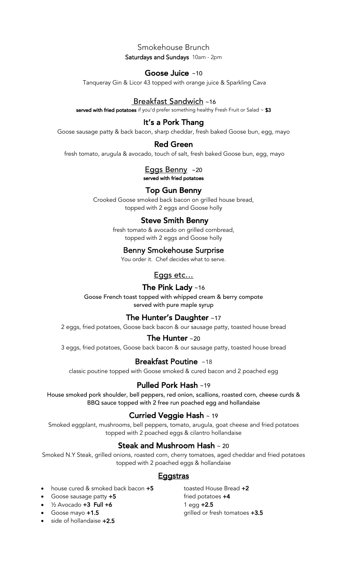Smokehouse Brunch Saturdays and Sundays 10am - 2pm

#### Goose Juice ~10

Tanqueray Gin & Licor 43 topped with orange juice & Sparkling Cava

# Breakfast Sandwich ~16

served with fried potatoes if you'd prefer something healthy Fresh Fruit or Salad  $\sim$  \$3

## It's a Pork Thang

Goose sausage patty & back bacon, sharp cheddar, fresh baked Goose bun, egg, mayo

## Red Green

fresh tomato, arugula & avocado, touch of salt, fresh baked Goose bun, egg, mayo

Eggs Benny ~20

served with fried potatoes

## Top Gun Benny

Crooked Goose smoked back bacon on grilled house bread, topped with 2 eggs and Goose holly

## Steve Smith Benny

fresh tomato & avocado on grilled cornbread, topped with 2 eggs and Goose holly

#### Benny Smokehouse Surprise

You order it. Chef decides what to serve.

<u>Eggs etc…</u>

## The Pink Lady ~16

Goose French toast topped with whipped cream & berry compote served with pure maple syrup

## The Hunter's Daughter ~17

2 eggs, fried potatoes, Goose back bacon & our sausage patty, toasted house bread

#### The Hunter ~20

3 eggs, fried potatoes, Goose back bacon & our sausage patty, toasted house bread

## Breakfast Poutine ~18

classic poutine topped with Goose smoked & cured bacon and 2 poached egg

## Pulled Pork Hash ~19

House smoked pork shoulder, bell peppers, red onion, scallions, roasted corn, cheese curds & BBQ sauce topped with 2 free run poached egg and hollandaise

#### Curried Veggie Hash ~ 19

Smoked eggplant, mushrooms, bell peppers, tomato, arugula, goat cheese and fried potatoes topped with 2 poached eggs & cilantro hollandaise

## Steak and Mushroom Hash ~ 20

Smoked N.Y Steak, grilled onions, roasted corn, cherry tomatoes, aged cheddar and fried potatoes topped with 2 poached eggs & hollandaise

## **Eggstras**

- house cured & smoked back bacon +5 toasted House Bread +2
- Goose sausage patty +5 fried potatoes +4
- $\frac{1}{2}$  Avocado +3 Full +6 1 egg +2.5
- 
- side of hollandaise +2.5

• Goose mayo +1.5 and the state of the state of fresh tomatoes +3.5